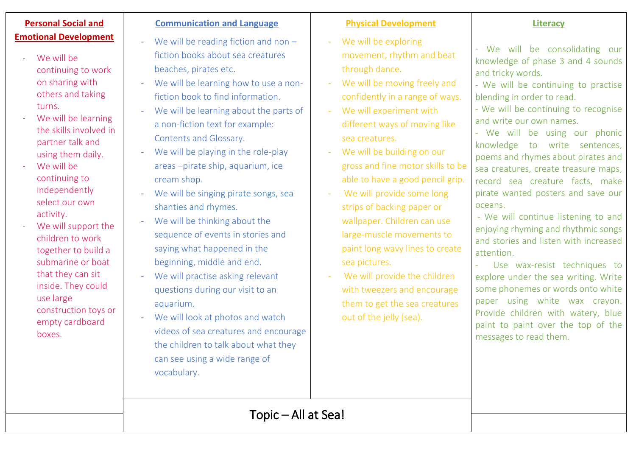# **Personal Social and Emotional Development**

- We will be continuing to work on sharing with others and taking turns.
- We will be learning the skills involved in partner talk and using them daily.
- We will be continuing to independently select our own activity.
- We will support the children to work together to build a submarine or boat that they can sit inside. They could use large construction toys or empty cardboard boxes.

## **Communication and Language**

- We will be reading fiction and non  $$ fiction books about sea creatures beaches, pirates etc.
- We will be learning how to use a nonfiction book to find information.
- We will be learning about the parts of a non-fiction text for example: Contents and Glossary.
- We will be playing in the role-play areas –pirate ship, aquarium, ice cream shop.
- We will be singing pirate songs, sea shanties and rhymes.
- We will be thinking about the sequence of events in stories and saying what happened in the beginning, middle and end.
- We will practise asking relevant questions during our visit to an aquarium.
- We will look at photos and watch videos of sea creatures and encourage the children to talk about what they can see using a wide range of vocabulary.

## **Physical Development**

- We will be exploring movement, rhythm and beat through dance.
- We will be moving freely and confidently in a range of ways.
- We will experiment with different ways of moving like sea creatures.
- We will be building on our gross and fine motor skills to be able to have a good pencil grip.
- We will provide some long strips of backing paper or wallpaper. Children can use large-muscle movements to paint long wavy lines to create sea pictures.
- We will provide the children with tweezers and encourage them to get the sea creatures out of the jelly (sea).

# **Literacy**

- We will be consolidating our knowledge of phase 3 and 4 sounds and tricky words.

- We will be continuing to practise blending in order to read.

- We will be continuing to recognise and write our own names.

- We will be using our phonic knowledge to write sentences, poems and rhymes about pirates and sea creatures, create treasure maps, record sea creature facts, make pirate wanted posters and save our oceans.

- We will continue listening to and enjoying rhyming and rhythmic songs and stories and listen with increased attention.

- Use wax-resist techniques to explore under the sea writing. Write some phonemes or words onto white paper using white wax crayon. Provide children with watery, blue paint to paint over the top of the messages to read them.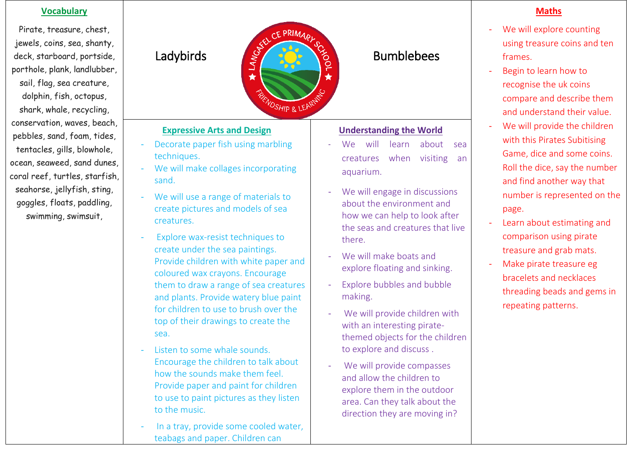# **Vocabulary**

Pirate, treasure, chest, jewels, coins, sea, shanty, deck, starboard, portside, porthole, plank, landlubber, sail, flag, sea creature, dolphin, fish, octopus, shark, whale, recycling, conservation, waves, beach, pebbles, sand, foam, tides, tentacles, gills, blowhole, ocean, seaweed, sand dunes, coral reef, turtles, starfish, seahorse, jellyfish, sting, goggles, floats, paddling, swimming, swimsuit,

# CE PRIMARI Ladybirds  $\frac{e^{x}}{x}$  and  $\frac{e^{x}}{x}$  by Bumblebees ★ ★ **NOSHIP & LEARD**

# **Expressive Arts and Design**

- Decorate paper fish using marbling techniques.
- We will make collages incorporating sand.
- We will use a range of materials to create pictures and models of sea creatures.
- Explore wax-resist techniques to create under the sea paintings. Provide children with white paper and coloured wax crayons. Encourage them to draw a range of sea creatures and plants. Provide watery blue paint for children to use to brush over the top of their drawings to create the sea.
- Listen to some whale sounds. Encourage the children to talk about how the sounds make them feel. Provide paper and paint for children to use to paint pictures as they listen to the music.
- In a tray, provide some cooled water, teabags and paper. Children can

# **Understanding the World**

- We will learn about sea creatures when visiting an aquarium.
- We will engage in discussions about the environment and how we can help to look after the seas and creatures that live there.
- We will make boats and explore floating and sinking.
- Explore bubbles and bubble making.
- We will provide children with with an interesting piratethemed objects for the children to explore and discuss .
- We will provide compasses and allow the children to explore them in the outdoor area. Can they talk about the direction they are moving in?

# **Maths**

- We will explore counting using treasure coins and ten frames.
- Begin to learn how to recognise the uk coins compare and describe them and understand their value.
- We will provide the children with this Pirates Subitising Game, dice and some coins. Roll the dice, say the number and find another way that number is represented on the page.
- Learn about estimating and comparison using pirate treasure and grab mats.
- Make pirate treasure eg bracelets and necklaces threading beads and gems in repeating patterns.